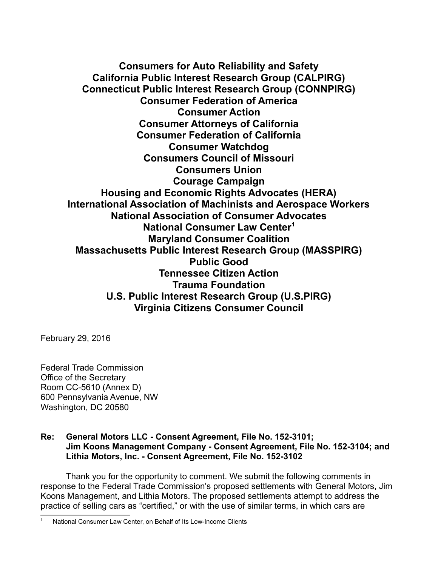**Consumers for Auto Reliability and Safety California Public Interest Research Group (CALPIRG) Connecticut Public Interest Research Group (CONNPIRG) Consumer Federation of America Consumer Action Consumer Attorneys of California Consumer Federation of California Consumer Watchdog Consumers Council of Missouri Consumers Union Courage Campaign Housing and Economic Rights Advocates (HERA) International Association of Machinists and Aerospace Workers National Association of Consumer Advocates National Consumer Law Center[1](#page-0-0) Maryland Consumer Coalition Massachusetts Public Interest Research Group (MASSPIRG) Public Good Tennessee Citizen Action Trauma Foundation U.S. Public Interest Research Group (U.S.PIRG) Virginia Citizens Consumer Council**

February 29, 2016

Federal Trade Commission Office of the Secretary Room CC-5610 (Annex D) 600 Pennsylvania Avenue, NW Washington, DC 20580

### **Re: General Motors LLC - Consent Agreement, File No. 152-3101; Jim Koons Management Company - Consent Agreement, File No. 152-3104; and Lithia Motors, Inc. - Consent Agreement, File No. 152-3102**

Thank you for the opportunity to comment. We submit the following comments in response to the Federal Trade Commission's proposed settlements with General Motors, Jim Koons Management, and Lithia Motors. The proposed settlements attempt to address the practice of selling cars as "certified," or with the use of similar terms, in which cars are

<span id="page-0-0"></span>National Consumer Law Center, on Behalf of Its Low-Income Clients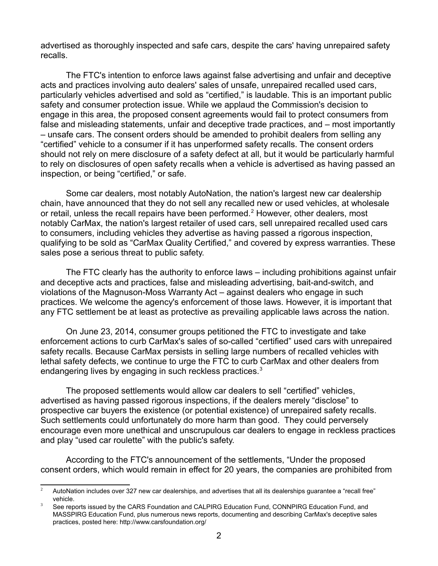advertised as thoroughly inspected and safe cars, despite the cars' having unrepaired safety recalls.

The FTC's intention to enforce laws against false advertising and unfair and deceptive acts and practices involving auto dealers' sales of unsafe, unrepaired recalled used cars, particularly vehicles advertised and sold as "certified," is laudable. This is an important public safety and consumer protection issue. While we applaud the Commission's decision to engage in this area, the proposed consent agreements would fail to protect consumers from false and misleading statements, unfair and deceptive trade practices, and – most importantly – unsafe cars. The consent orders should be amended to prohibit dealers from selling any "certified" vehicle to a consumer if it has unperformed safety recalls. The consent orders should not rely on mere disclosure of a safety defect at all, but it would be particularly harmful to rely on disclosures of open safety recalls when a vehicle is advertised as having passed an inspection, or being "certified," or safe.

Some car dealers, most notably AutoNation, the nation's largest new car dealership chain, have announced that they do not sell any recalled new or used vehicles, at wholesale or retail, unless the recall repairs have been performed.<sup>[2](#page-1-0)</sup> However, other dealers, most notably CarMax, the nation's largest retailer of used cars, sell unrepaired recalled used cars to consumers, including vehicles they advertise as having passed a rigorous inspection, qualifying to be sold as "CarMax Quality Certified," and covered by express warranties. These sales pose a serious threat to public safety.

The FTC clearly has the authority to enforce laws – including prohibitions against unfair and deceptive acts and practices, false and misleading advertising, bait-and-switch, and violations of the Magnuson-Moss Warranty Act – against dealers who engage in such practices. We welcome the agency's enforcement of those laws. However, it is important that any FTC settlement be at least as protective as prevailing applicable laws across the nation.

On June 23, 2014, consumer groups petitioned the FTC to investigate and take enforcement actions to curb CarMax's sales of so-called "certified" used cars with unrepaired safety recalls. Because CarMax persists in selling large numbers of recalled vehicles with lethal safety defects, we continue to urge the FTC to curb CarMax and other dealers from endangering lives by engaging in such reckless practices.<sup>[3](#page-1-1)</sup>

The proposed settlements would allow car dealers to sell "certified" vehicles, advertised as having passed rigorous inspections, if the dealers merely "disclose" to prospective car buyers the existence (or potential existence) of unrepaired safety recalls. Such settlements could unfortunately do more harm than good. They could perversely encourage even more unethical and unscrupulous car dealers to engage in reckless practices and play "used car roulette" with the public's safety.

According to the FTC's announcement of the settlements, "Under the proposed consent orders, which would remain in effect for 20 years, the companies are prohibited from

<span id="page-1-0"></span>AutoNation includes over 327 new car dealerships, and advertises that all its dealerships guarantee a "recall free" vehicle.

<span id="page-1-1"></span><sup>&</sup>lt;sup>3</sup> See reports issued by the CARS Foundation and CALPIRG Education Fund, CONNPIRG Education Fund, and MASSPIRG Education Fund, plus numerous news reports, documenting and describing CarMax's deceptive sales practices, posted here: http://www.carsfoundation.org/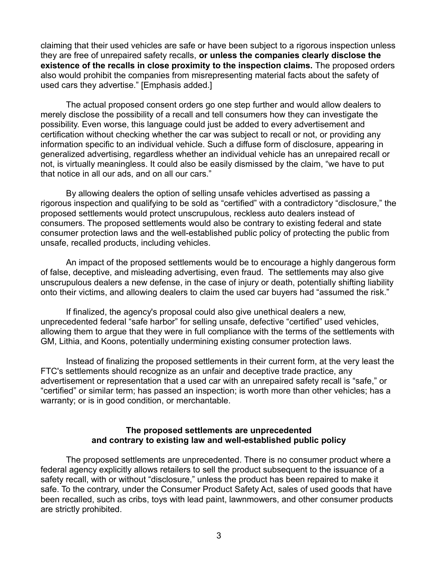claiming that their used vehicles are safe or have been subject to a rigorous inspection unless they are free of unrepaired safety recalls, **or unless the companies clearly disclose the existence of the recalls in close proximity to the inspection claims.** The proposed orders also would prohibit the companies from misrepresenting material facts about the safety of used cars they advertise." [Emphasis added.]

The actual proposed consent orders go one step further and would allow dealers to merely disclose the possibility of a recall and tell consumers how they can investigate the possibility. Even worse, this language could just be added to every advertisement and certification without checking whether the car was subject to recall or not, or providing any information specific to an individual vehicle. Such a diffuse form of disclosure, appearing in generalized advertising, regardless whether an individual vehicle has an unrepaired recall or not, is virtually meaningless. It could also be easily dismissed by the claim, "we have to put that notice in all our ads, and on all our cars."

By allowing dealers the option of selling unsafe vehicles advertised as passing a rigorous inspection and qualifying to be sold as "certified" with a contradictory "disclosure," the proposed settlements would protect unscrupulous, reckless auto dealers instead of consumers. The proposed settlements would also be contrary to existing federal and state consumer protection laws and the well-established public policy of protecting the public from unsafe, recalled products, including vehicles.

An impact of the proposed settlements would be to encourage a highly dangerous form of false, deceptive, and misleading advertising, even fraud. The settlements may also give unscrupulous dealers a new defense, in the case of injury or death, potentially shifting liability onto their victims, and allowing dealers to claim the used car buyers had "assumed the risk."

If finalized, the agency's proposal could also give unethical dealers a new, unprecedented federal "safe harbor" for selling unsafe, defective "certified" used vehicles, allowing them to argue that they were in full compliance with the terms of the settlements with GM, Lithia, and Koons, potentially undermining existing consumer protection laws.

Instead of finalizing the proposed settlements in their current form, at the very least the FTC's settlements should recognize as an unfair and deceptive trade practice, any advertisement or representation that a used car with an unrepaired safety recall is "safe," or "certified" or similar term; has passed an inspection; is worth more than other vehicles; has a warranty; or is in good condition, or merchantable.

# **The proposed settlements are unprecedented and contrary to existing law and well-established public policy**

The proposed settlements are unprecedented. There is no consumer product where a federal agency explicitly allows retailers to sell the product subsequent to the issuance of a safety recall, with or without "disclosure," unless the product has been repaired to make it safe. To the contrary, under the Consumer Product Safety Act, sales of used goods that have been recalled, such as cribs, toys with lead paint, lawnmowers, and other consumer products are strictly prohibited.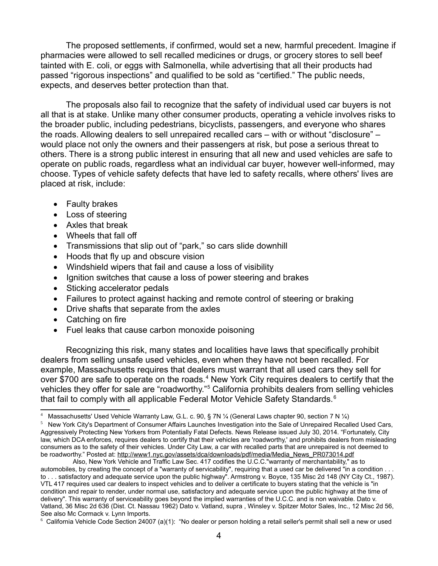The proposed settlements, if confirmed, would set a new, harmful precedent. Imagine if pharmacies were allowed to sell recalled medicines or drugs, or grocery stores to sell beef tainted with E. coli, or eggs with Salmonella, while advertising that all their products had passed "rigorous inspections" and qualified to be sold as "certified." The public needs, expects, and deserves better protection than that.

The proposals also fail to recognize that the safety of individual used car buyers is not all that is at stake. Unlike many other consumer products, operating a vehicle involves risks to the broader public, including pedestrians, bicyclists, passengers, and everyone who shares the roads. Allowing dealers to sell unrepaired recalled cars – with or without "disclosure" – would place not only the owners and their passengers at risk, but pose a serious threat to others. There is a strong public interest in ensuring that all new and used vehicles are safe to operate on public roads, regardless what an individual car buyer, however well-informed, may choose. Types of vehicle safety defects that have led to safety recalls, where others' lives are placed at risk, include:

- Faulty brakes
- Loss of steering
- Axles that break
- Wheels that fall off
- Transmissions that slip out of "park," so cars slide downhill
- Hoods that fly up and obscure vision
- Windshield wipers that fail and cause a loss of visibility
- Ignition switches that cause a loss of power steering and brakes
- Sticking accelerator pedals
- Failures to protect against hacking and remote control of steering or braking
- Drive shafts that separate from the axles
- Catching on fire
- Fuel leaks that cause carbon monoxide poisoning

Recognizing this risk, many states and localities have laws that specifically prohibit dealers from selling unsafe used vehicles, even when they have not been recalled. For example, Massachusetts requires that dealers must warrant that all used cars they sell for over \$700 are safe to operate on the roads.<sup>[4](#page-3-0)</sup> New York City requires dealers to certify that the vehicles they offer for sale are "roadworthy."<sup>[5](#page-3-1)</sup> California prohibits dealers from selling vehicles that fail to comply with all applicable Federal Motor Vehicle Safety Standards.<sup>[6](#page-3-2)</sup>

<span id="page-3-0"></span> $^4$  Massachusetts' Used Vehicle Warranty Law, G.L. c. 90, § 7N ¼ (General Laws chapter 90, section 7 N ¼)

<span id="page-3-1"></span> $^5$  New York City's Department of Consumer Affairs Launches Investigation into the Sale of Unrepaired Recalled Used Cars, Aggressively Protecting New Yorkers from Potentially Fatal Defects. News Release issued July 30, 2014. "Fortunately, City law, which DCA enforces, requires dealers to certify that their vehicles are 'roadworthy,' and prohibits dealers from misleading consumers as to the safety of their vehicles. Under City Law, a car with recalled parts that are unrepaired is not deemed to be roadworthy." Posted at: [http://www1.nyc.gov/assets/dca/downloads/pdf/media/Media\\_News\\_PR073014.pdf](http://www1.nyc.gov/assets/dca/downloads/pdf/media/Media_News_PR073014.pdf)

Also, New York Vehicle and Traffic Law Sec. 417 codifies the U.C.C."warranty of merchantability," as to automobiles, by creating the concept of a "warranty of servicability", requiring that a used car be delivered "in a condition . to . . . satisfactory and adequate service upon the public highway". Armstrong v. Boyce, 135 Misc 2d 148 (NY City Ct., 1987). VTL 417 requires used car dealers to inspect vehicles and to deliver a certificate to buyers stating that the vehicle is "in condition and repair to render, under normal use, satisfactory and adequate service upon the public highway at the time of delivery". This warranty of serviceability goes beyond the implied warranties of the U.C.C. and is non waivable. Dato v. Vatland, 36 Misc 2d 636 (Dist. Ct. Nassau 1962) Dato v. Vatland, supra , Winsley v. Spitzer Motor Sales, Inc., 12 Misc 2d 56, See also Mc Cormack v. Lynn Imports.

<span id="page-3-2"></span> $^6$  California Vehicle Code Section 24007 (a)(1): "No dealer or person holding a retail seller's permit shall sell a new or used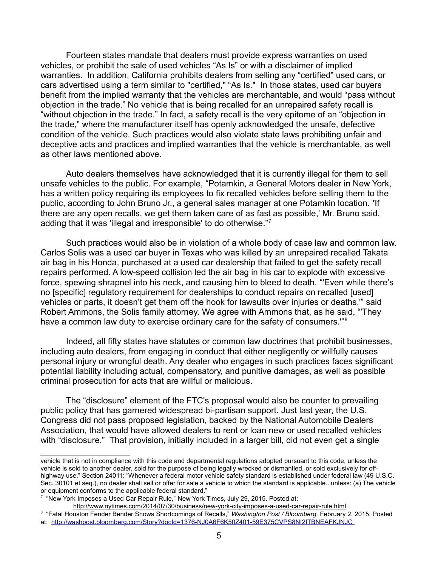Fourteen states mandate that dealers must provide express warranties on used vehicles, or prohibit the sale of used vehicles "As Is" or with a disclaimer of implied warranties. In addition, California prohibits dealers from selling any "certified" used cars, or cars advertised using a term similar to "certified," "As Is." In those states, used car buyers benefit from the implied warranty that the vehicles are merchantable, and would "pass without objection in the trade." No vehicle that is being recalled for an unrepaired safety recall is "without objection in the trade." In fact, a safety recall is the very epitome of an "objection in the trade," where the manufacturer itself has openly acknowledged the unsafe, defective condition of the vehicle. Such practices would also violate state laws prohibiting unfair and deceptive acts and practices and implied warranties that the vehicle is merchantable, as well as other laws mentioned above.

Auto dealers themselves have acknowledged that it is currently illegal for them to sell unsafe vehicles to the public. For example, "Potamkin, a General Motors dealer in New York, has a written policy requiring its employees to fix recalled vehicles before selling them to the public, according to John Bruno Jr., a general sales manager at one Potamkin location. **'**If there are any open recalls, we get them taken care of as fast as possible,' Mr. Bruno said, adding that it was 'illegal and irresponsible' to do otherwise."[7](#page-4-0)

Such practices would also be in violation of a whole body of case law and common law. Carlos Solis was a used car buyer in Texas who was killed by an unrepaired recalled Takata air bag in his Honda, purchased at a used car dealership that failed to get the safety recall repairs performed. A low-speed collision led the air bag in his car to explode with excessive force, spewing shrapnel into his neck, and causing him to bleed to death. "'Even while there's no [specific] regulatory requirement for dealerships to conduct repairs on recalled [used] vehicles or parts, it doesn't get them off the hook for lawsuits over injuries or deaths,'" said Robert Ammons, the Solis family attorney. We agree with Ammons that, as he said, "'They have a common law duty to exercise ordinary care for the safety of consumers."<sup>[8](#page-4-1)</sup>

Indeed, all fifty states have statutes or common law doctrines that prohibit businesses, including auto dealers, from engaging in conduct that either negligently or willfully causes personal injury or wrongful death. Any dealer who engages in such practices faces significant potential liability including actual, compensatory, and punitive damages, as well as possible criminal prosecution for acts that are willful or malicious.

The "disclosure" element of the FTC's proposal would also be counter to prevailing public policy that has garnered widespread bi-partisan support. Just last year, the U.S. Congress did not pass proposed legislation, backed by the National Automobile Dealers Association, that would have allowed dealers to rent or loan new or used recalled vehicles with "disclosure." That provision, initially included in a larger bill, did not even get a single

vehicle that is not in compliance with this code and departmental regulations adopted pursuant to this code, unless the vehicle is sold to another dealer, sold for the purpose of being legally wrecked or dismantled, or sold exclusively for offhighway use." Section 24011: "Whenever a federal motor vehicle safety standard is established under federal law (49 U.S.C. Sec. 30101 et seq.), no dealer shall sell or offer for sale a vehicle to which the standard is applicable...unless: (a) The vehicle or equipment conforms to the applicable federal standard."

<span id="page-4-0"></span> $7$  "New York Imposes a Used Car Repair Rule," New York Times, July 29, 2015. Posted at:

<span id="page-4-1"></span><http://www.nytimes.com/2014/07/30/business/new-york-city-imposes-a-used-car-repair-rule.html> 8 "Fatal Houston Fender Bender Shows Shortcomings of Recalls," *Washington Post / Bloomberg,* February 2, 2015. Posted at: <http://washpost.bloomberg.com/Story?docId=1376-NJ0A6F6K50Z401-59E375CVPS8NI2ITBNEAFKJNJC>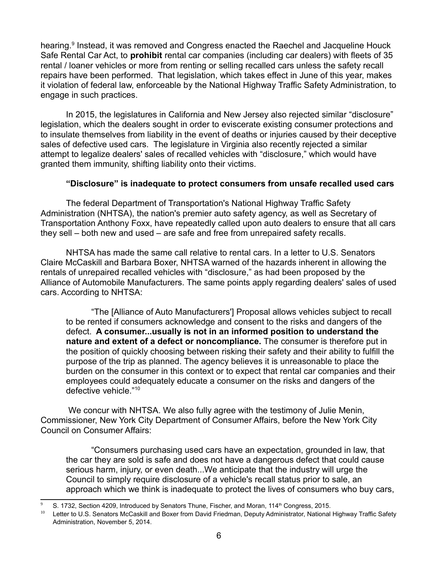hearing.<sup>[9](#page-5-0)</sup> Instead, it was removed and Congress enacted the Raechel and Jacqueline Houck Safe Rental Car Act, to **prohibit** rental car companies (including car dealers) with fleets of 35 rental / loaner vehicles or more from renting or selling recalled cars unless the safety recall repairs have been performed. That legislation, which takes effect in June of this year, makes it violation of federal law, enforceable by the National Highway Traffic Safety Administration, to engage in such practices.

In 2015, the legislatures in California and New Jersey also rejected similar "disclosure" legislation, which the dealers sought in order to eviscerate existing consumer protections and to insulate themselves from liability in the event of deaths or injuries caused by their deceptive sales of defective used cars. The legislature in Virginia also recently rejected a similar attempt to legalize dealers' sales of recalled vehicles with "disclosure," which would have granted them immunity, shifting liability onto their victims.

# **"Disclosure" is inadequate to protect consumers from unsafe recalled used cars**

The federal Department of Transportation's National Highway Traffic Safety Administration (NHTSA), the nation's premier auto safety agency, as well as Secretary of Transportation Anthony Foxx, have repeatedly called upon auto dealers to ensure that all cars they sell – both new and used – are safe and free from unrepaired safety recalls.

NHTSA has made the same call relative to rental cars. In a letter to U.S. Senators Claire McCaskill and Barbara Boxer, NHTSA warned of the hazards inherent in allowing the rentals of unrepaired recalled vehicles with "disclosure," as had been proposed by the Alliance of Automobile Manufacturers. The same points apply regarding dealers' sales of used cars. According to NHTSA:

"The [Alliance of Auto Manufacturers'] Proposal allows vehicles subject to recall to be rented if consumers acknowledge and consent to the risks and dangers of the defect. **A consumer...usually is not in an informed position to understand the nature and extent of a defect or noncompliance.** The consumer is therefore put in the position of quickly choosing between risking their safety and their ability to fulfill the purpose of the trip as planned. The agency believes it is unreasonable to place the burden on the consumer in this context or to expect that rental car companies and their employees could adequately educate a consumer on the risks and dangers of the defective vehicle."[10](#page-5-1)

We concur with NHTSA. We also fully agree with the testimony of Julie Menin, Commissioner, New York City Department of Consumer Affairs, before the New York City Council on Consumer Affairs:

"Consumers purchasing used cars have an expectation, grounded in law, that the car they are sold is safe and does not have a dangerous defect that could cause serious harm, injury, or even death...We anticipate that the industry will urge the Council to simply require disclosure of a vehicle's recall status prior to sale, an approach which we think is inadequate to protect the lives of consumers who buy cars,

<span id="page-5-0"></span>S. 1732, Section 4209, Introduced by Senators Thune, Fischer, and Moran, 114<sup>th</sup> Congress, 2015.

<span id="page-5-1"></span><sup>&</sup>lt;sup>10</sup> Letter to U.S. Senators McCaskill and Boxer from David Friedman, Deputy Administrator, National Highway Traffic Safety Administration, November 5, 2014.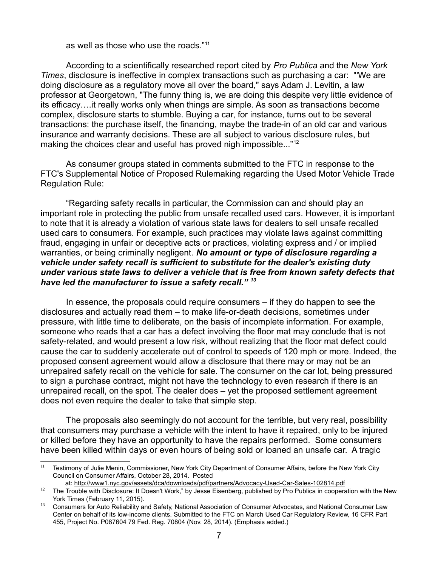as well as those who use the roads."[11](#page-6-0)

According to a scientifically researched report cited by *Pro Publica* and the *New York Times*, disclosure is ineffective in complex transactions such as purchasing a car: "'We are doing disclosure as a regulatory move all over the board," says Adam J. Levitin, a law professor at Georgetown, "The funny thing is, we are doing this despite very little evidence of its efficacy….it really works only when things are simple. As soon as transactions become complex, disclosure starts to stumble. Buying a car, for instance, turns out to be several transactions: the purchase itself, the financing, maybe the trade-in of an old car and various insurance and warranty decisions. These are all subject to various disclosure rules, but making the choices clear and useful has proved nigh impossible..."<sup>[12](#page-6-1)</sup>

As consumer groups stated in comments submitted to the FTC in response to the FTC's Supplemental Notice of Proposed Rulemaking regarding the Used Motor Vehicle Trade Regulation Rule:

"Regarding safety recalls in particular, the Commission can and should play an important role in protecting the public from unsafe recalled used cars. However, it is important to note that it is already a violation of various state laws for dealers to sell unsafe recalled used cars to consumers. For example, such practices may violate laws against committing fraud, engaging in unfair or deceptive acts or practices, violating express and / or implied warranties, or being criminally negligent. *No amount or type of disclosure regarding a vehicle under safety recall is sufficient to substitute for the dealer's existing duty under various state laws to deliver a vehicle that is free from known safety defects that have led the manufacturer to issue a safety recall." [13](#page-6-2)*

In essence, the proposals could require consumers – if they do happen to see the disclosures and actually read them – to make life-or-death decisions, sometimes under pressure, with little time to deliberate, on the basis of incomplete information. For example, someone who reads that a car has a defect involving the floor mat may conclude that is not safety-related, and would present a low risk, without realizing that the floor mat defect could cause the car to suddenly accelerate out of control to speeds of 120 mph or more. Indeed, the proposed consent agreement would allow a disclosure that there may or may not be an unrepaired safety recall on the vehicle for sale. The consumer on the car lot, being pressured to sign a purchase contract, might not have the technology to even research if there is an unrepaired recall, on the spot. The dealer does – yet the proposed settlement agreement does not even require the dealer to take that simple step.

The proposals also seemingly do not account for the terrible, but very real, possibility that consumers may purchase a vehicle with the intent to have it repaired, only to be injured or killed before they have an opportunity to have the repairs performed. Some consumers have been killed within days or even hours of being sold or loaned an unsafe car. A tragic

<span id="page-6-0"></span><sup>&</sup>lt;sup>11</sup> Testimony of Julie Menin, Commissioner, New York City Department of Consumer Affairs, before the New York City Council on Consumer Affairs, October 28, 2014. Posted

<span id="page-6-1"></span>at:<http://www1.nyc.gov/assets/dca/downloads/pdf/partners/Advocacy-Used-Car-Sales-102814.pdf>

<sup>&</sup>lt;sup>12</sup> The Trouble with Disclosure: It Doesn't Work," by Jesse Eisenberg, published by Pro Publica in cooperation with the New York Times (February 11, 2015).

<span id="page-6-2"></span> $13$  Consumers for Auto Reliability and Safety, National Association of Consumer Advocates, and National Consumer Law Center on behalf of its low-income clients. Submitted to the FTC on March Used Car Regulatory Review, 16 CFR Part 455, Project No. P087604 79 Fed. Reg. 70804 (Nov. 28, 2014). (Emphasis added.)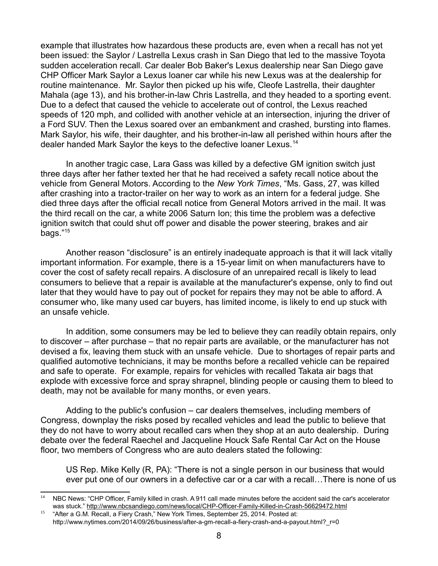example that illustrates how hazardous these products are, even when a recall has not yet been issued: the Saylor / Lastrella Lexus crash in San Diego that led to the massive Toyota sudden acceleration recall. Car dealer Bob Baker's Lexus dealership near San Diego gave CHP Officer Mark Saylor a Lexus loaner car while his new Lexus was at the dealership for routine maintenance. Mr. Saylor then picked up his wife, Cleofe Lastrella, their daughter Mahala (age 13), and his brother-in-law Chris Lastrella, and they headed to a sporting event. Due to a defect that caused the vehicle to accelerate out of control, the Lexus reached speeds of 120 mph, and collided with another vehicle at an intersection, injuring the driver of a Ford SUV. Then the Lexus soared over an embankment and crashed, bursting into flames. Mark Saylor, his wife, their daughter, and his brother-in-law all perished within hours after the dealer handed Mark Saylor the keys to the defective loaner Lexus.[14](#page-7-0) 

In another tragic case, Lara Gass was killed by a defective GM ignition switch just three days after her father texted her that he had received a safety recall notice about the vehicle from General Motors. According to the *New York Times*, "Ms. Gass, 27, was killed after crashing into a tractor-trailer on her way to work as an intern for a federal judge. She died three days after the official recall notice from General Motors arrived in the mail. It was the third recall on the car, a white 2006 Saturn Ion; this time the problem was a defective ignition switch that could shut off power and disable the power steering, brakes and air bags."[15](#page-7-1)

Another reason "disclosure" is an entirely inadequate approach is that it will lack vitally important information. For example, there is a 15-year limit on when manufacturers have to cover the cost of safety recall repairs. A disclosure of an unrepaired recall is likely to lead consumers to believe that a repair is available at the manufacturer's expense, only to find out later that they would have to pay out of pocket for repairs they may not be able to afford. A consumer who, like many used car buyers, has limited income, is likely to end up stuck with an unsafe vehicle.

In addition, some consumers may be led to believe they can readily obtain repairs, only to discover – after purchase – that no repair parts are available, or the manufacturer has not devised a fix, leaving them stuck with an unsafe vehicle. Due to shortages of repair parts and qualified automotive technicians, it may be months before a recalled vehicle can be repaired and safe to operate. For example, repairs for vehicles with recalled Takata air bags that explode with excessive force and spray shrapnel, blinding people or causing them to bleed to death, may not be available for many months, or even years.

Adding to the public's confusion – car dealers themselves, including members of Congress, downplay the risks posed by recalled vehicles and lead the public to believe that they do not have to worry about recalled cars when they shop at an auto dealership. During debate over the federal Raechel and Jacqueline Houck Safe Rental Car Act on the House floor, two members of Congress who are auto dealers stated the following:

US Rep. Mike Kelly (R, PA): "There is not a single person in our business that would ever put one of our owners in a defective car or a car with a recall…There is none of us

<span id="page-7-0"></span><sup>&</sup>lt;sup>14</sup> NBC News: "CHP Officer, Family killed in crash. A 911 call made minutes before the accident said the car's accelerator was stuck."<http://www.nbcsandiego.com/news/local/CHP-Officer-Family-Killed-in-Crash-56629472.html>

<span id="page-7-1"></span> $15$  "After a G.M. Recall, a Fiery Crash," New York Times, September 25, 2014. Posted at: http://www.nytimes.com/2014/09/26/business/after-a-gm-recall-a-fiery-crash-and-a-payout.html?\_r=0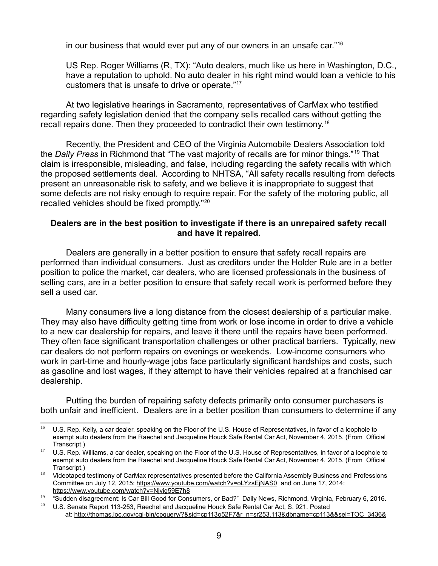in our business that would ever put any of our owners in an unsafe car."[16](#page-8-0)

US Rep. Roger Williams (R, TX): "Auto dealers, much like us here in Washington, D.C., have a reputation to uphold. No auto dealer in his right mind would loan a vehicle to his customers that is unsafe to drive or operate."[17](#page-8-1)

At two legislative hearings in Sacramento, representatives of CarMax who testified regarding safety legislation denied that the company sells recalled cars without getting the recall repairs done. Then they proceeded to contradict their own testimony.<sup>[18](#page-8-2)</sup>

Recently, the President and CEO of the Virginia Automobile Dealers Association told the *Daily Press* in Richmond that "The vast majority of recalls are for minor things."[19](#page-8-3) That claim is irresponsible, misleading, and false, including regarding the safety recalls with which the proposed settlements deal. According to NHTSA, "All safety recalls resulting from defects present an unreasonable risk to safety, and we believe it is inappropriate to suggest that some defects are not risky enough to require repair. For the safety of the motoring public, all recalled vehicles should be fixed promptly."[20](#page-8-4)

# **Dealers are in the best position to investigate if there is an unrepaired safety recall and have it repaired.**

Dealers are generally in a better position to ensure that safety recall repairs are performed than individual consumers. Just as creditors under the Holder Rule are in a better position to police the market, car dealers, who are licensed professionals in the business of selling cars, are in a better position to ensure that safety recall work is performed before they sell a used car.

Many consumers live a long distance from the closest dealership of a particular make. They may also have difficulty getting time from work or lose income in order to drive a vehicle to a new car dealership for repairs, and leave it there until the repairs have been performed. They often face significant transportation challenges or other practical barriers. Typically, new car dealers do not perform repairs on evenings or weekends. Low-income consumers who work in part-time and hourly-wage jobs face particularly significant hardships and costs, such as gasoline and lost wages, if they attempt to have their vehicles repaired at a franchised car dealership.

Putting the burden of repairing safety defects primarily onto consumer purchasers is both unfair and inefficient. Dealers are in a better position than consumers to determine if any

<span id="page-8-0"></span> $16$  U.S. Rep. Kelly, a car dealer, speaking on the Floor of the U.S. House of Representatives, in favor of a loophole to exempt auto dealers from the Raechel and Jacqueline Houck Safe Rental Car Act, November 4, 2015. (From Official Transcript.)

<span id="page-8-1"></span><sup>&</sup>lt;sup>17</sup> U.S. Rep. Williams, a car dealer, speaking on the Floor of the U.S. House of Representatives, in favor of a loophole to exempt auto dealers from the Raechel and Jacqueline Houck Safe Rental Car Act, November 4, 2015. (From Official Transcript.)

<span id="page-8-2"></span><sup>&</sup>lt;sup>18</sup> Videotaped testimony of CarMax representatives presented before the California Assembly Business and Professions Committee on July 12, 2015:<https://www.youtube.com/watch?v=oLYzsEjNAS0>and on June 17, 2014: <https://www.youtube.com/watch?v=Njvig59E7h8>

<span id="page-8-3"></span> $19$  "Sudden disagreement: Is Car Bill Good for Consumers, or Bad?" Daily News, Richmond, Virginia, February 6, 2016.

<span id="page-8-4"></span><sup>&</sup>lt;sup>20</sup> U.S. Senate Report 113-253, Raechel and Jacqueline Houck Safe Rental Car Act, S. 921. Posted at: [http://thomas.loc.gov/cgi-bin/cpquery/?&sid=cp113o52F7&r\\_n=sr253.113&dbname=cp113&&sel=TOC\\_3436&](http://thomas.loc.gov/cgi-bin/cpquery/?&sid=cp113o52F7&r_n=sr253.113&dbname=cp113&&sel=TOC_3436&)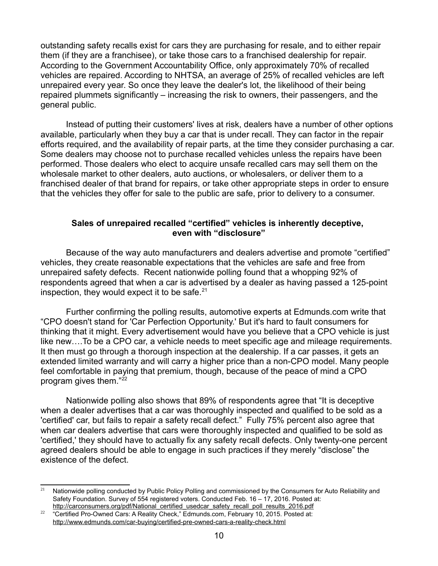outstanding safety recalls exist for cars they are purchasing for resale, and to either repair them (if they are a franchisee), or take those cars to a franchised dealership for repair. According to the Government Accountability Office, only approximately 70% of recalled vehicles are repaired. According to NHTSA, an average of 25% of recalled vehicles are left unrepaired every year. So once they leave the dealer's lot, the likelihood of their being repaired plummets significantly – increasing the risk to owners, their passengers, and the general public.

Instead of putting their customers' lives at risk, dealers have a number of other options available, particularly when they buy a car that is under recall. They can factor in the repair efforts required, and the availability of repair parts, at the time they consider purchasing a car. Some dealers may choose not to purchase recalled vehicles unless the repairs have been performed. Those dealers who elect to acquire unsafe recalled cars may sell them on the wholesale market to other dealers, auto auctions, or wholesalers, or deliver them to a franchised dealer of that brand for repairs, or take other appropriate steps in order to ensure that the vehicles they offer for sale to the public are safe, prior to delivery to a consumer.

# **Sales of unrepaired recalled "certified" vehicles is inherently deceptive, even with "disclosure"**

Because of the way auto manufacturers and dealers advertise and promote "certified" vehicles, they create reasonable expectations that the vehicles are safe and free from unrepaired safety defects. Recent nationwide polling found that a whopping 92% of respondents agreed that when a car is advertised by a dealer as having passed a 125-point inspection, they would expect it to be safe. $21$ 

Further confirming the polling results, automotive experts at Edmunds.com write that "CPO doesn't stand for 'Car Perfection Opportunity.' But it's hard to fault consumers for thinking that it might. Every advertisement would have you believe that a CPO vehicle is just like new….To be a CPO car, a vehicle needs to meet specific age and mileage requirements. It then must go through a thorough inspection at the dealership. If a car passes, it gets an extended limited warranty and will carry a higher price than a non-CPO model. Many people feel comfortable in paying that premium, though, because of the peace of mind a CPO program gives them."[22](#page-9-1)

Nationwide polling also shows that 89% of respondents agree that "It is deceptive when a dealer advertises that a car was thoroughly inspected and qualified to be sold as a 'certified' car, but fails to repair a safety recall defect." Fully 75% percent also agree that when car dealers advertise that cars were thoroughly inspected and qualified to be sold as 'certified,' they should have to actually fix any safety recall defects. Only twenty-one percent agreed dealers should be able to engage in such practices if they merely "disclose" the existence of the defect.

<span id="page-9-0"></span><sup>&</sup>lt;sup>21</sup> Nationwide polling conducted by Public Policy Polling and commissioned by the Consumers for Auto Reliability and Safety Foundation. Survey of 554 registered voters. Conducted Feb. 16 – 17, 2016. Posted at: [http://carconsumers.org/pdf/National\\_certified\\_usedcar\\_safety\\_recall\\_poll\\_results\\_2016.pdf](http://carconsumers.org/pdf/National_certified_usedcar_safety_recall_poll_results_2016.pdf)

<span id="page-9-1"></span> $22$  "Certified Pro-Owned Cars: A Reality Check," Edmunds.com, February 10, 2015. Posted at: <http://www.edmunds.com/car-buying/certified-pre-owned-cars-a-reality-check.html>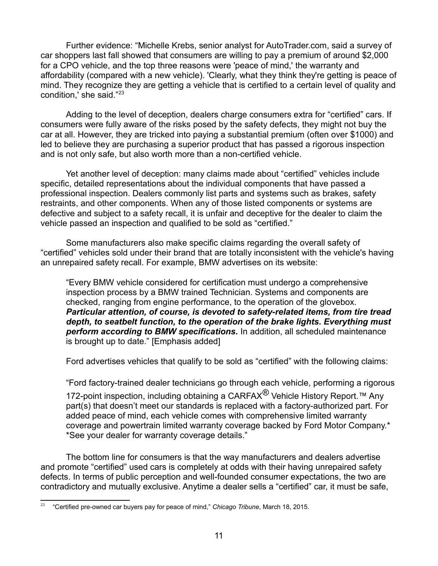Further evidence: "Michelle Krebs, senior analyst for AutoTrader.com, said a survey of car shoppers last fall showed that consumers are willing to pay a premium of around \$2,000 for a CPO vehicle, and the top three reasons were 'peace of mind,' the warranty and affordability (compared with a new vehicle). 'Clearly, what they think they're getting is peace of mind. They recognize they are getting a vehicle that is certified to a certain level of quality and condition,' she said."[23](#page-10-0)

Adding to the level of deception, dealers charge consumers extra for "certified" cars. If consumers were fully aware of the risks posed by the safety defects, they might not buy the car at all. However, they are tricked into paying a substantial premium (often over \$1000) and led to believe they are purchasing a superior product that has passed a rigorous inspection and is not only safe, but also worth more than a non-certified vehicle.

Yet another level of deception: many claims made about "certified" vehicles include specific, detailed representations about the individual components that have passed a professional inspection. Dealers commonly list parts and systems such as brakes, safety restraints, and other components. When any of those listed components or systems are defective and subject to a safety recall, it is unfair and deceptive for the dealer to claim the vehicle passed an inspection and qualified to be sold as "certified."

Some manufacturers also make specific claims regarding the overall safety of "certified" vehicles sold under their brand that are totally inconsistent with the vehicle's having an unrepaired safety recall. For example, BMW advertises on its website:

"Every BMW vehicle considered for certification must undergo a comprehensive inspection process by a BMW trained Technician. Systems and components are checked, ranging from engine performance, to the operation of the glovebox. *Particular attention, of course, is devoted to safety-related items, from tire tread depth, to seatbelt function, to the operation of the brake lights. Everything must perform according to BMW specifications.* In addition, all scheduled maintenance is brought up to date." [Emphasis added]

Ford advertises vehicles that qualify to be sold as "certified" with the following claims:

"Ford factory-trained dealer technicians go through each vehicle, performing a rigorous 172-point inspection, including obtaining a CARFAX<sup>®</sup> Vehicle History Report.™ Any part(s) that doesn't meet our standards is replaced with a factory-authorized part. For added peace of mind, each vehicle comes with comprehensive limited warranty coverage and powertrain limited warranty coverage backed by Ford Motor Company.\* \*See your dealer for warranty coverage details."

The bottom line for consumers is that the way manufacturers and dealers advertise and promote "certified" used cars is completely at odds with their having unrepaired safety defects. In terms of public perception and well-founded consumer expectations, the two are contradictory and mutually exclusive. Anytime a dealer sells a "certified" car, it must be safe,

<span id="page-10-0"></span><sup>23</sup> "Certified pre-owned car buyers pay for peace of mind," *Chicago Tribune*, March 18, 2015.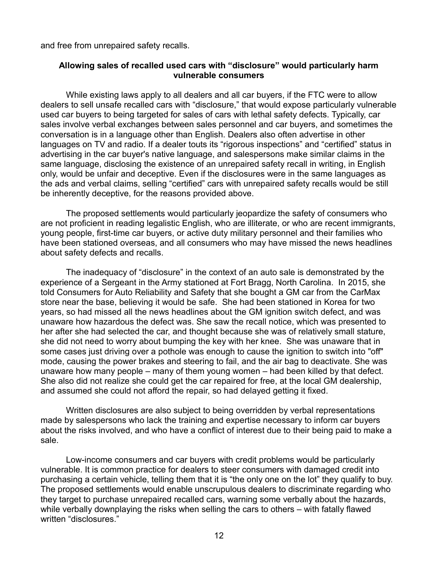and free from unrepaired safety recalls.

# **Allowing sales of recalled used cars with "disclosure" would particularly harm vulnerable consumers**

While existing laws apply to all dealers and all car buyers, if the FTC were to allow dealers to sell unsafe recalled cars with "disclosure," that would expose particularly vulnerable used car buyers to being targeted for sales of cars with lethal safety defects. Typically, car sales involve verbal exchanges between sales personnel and car buyers, and sometimes the conversation is in a language other than English. Dealers also often advertise in other languages on TV and radio. If a dealer touts its "rigorous inspections" and "certified" status in advertising in the car buyer's native language, and salespersons make similar claims in the same language, disclosing the existence of an unrepaired safety recall in writing, in English only, would be unfair and deceptive. Even if the disclosures were in the same languages as the ads and verbal claims, selling "certified" cars with unrepaired safety recalls would be still be inherently deceptive, for the reasons provided above.

The proposed settlements would particularly jeopardize the safety of consumers who are not proficient in reading legalistic English, who are illiterate, or who are recent immigrants, young people, first-time car buyers, or active duty military personnel and their families who have been stationed overseas, and all consumers who may have missed the news headlines about safety defects and recalls.

The inadequacy of "disclosure" in the context of an auto sale is demonstrated by the experience of a Sergeant in the Army stationed at Fort Bragg, North Carolina. In 2015, she told Consumers for Auto Reliability and Safety that she bought a GM car from the CarMax store near the base, believing it would be safe. She had been stationed in Korea for two years, so had missed all the news headlines about the GM ignition switch defect, and was unaware how hazardous the defect was. She saw the recall notice, which was presented to her after she had selected the car, and thought because she was of relatively small stature, she did not need to worry about bumping the key with her knee. She was unaware that in some cases just driving over a pothole was enough to cause the ignition to switch into "off" mode, causing the power brakes and steering to fail, and the air bag to deactivate. She was unaware how many people – many of them young women – had been killed by that defect. She also did not realize she could get the car repaired for free, at the local GM dealership, and assumed she could not afford the repair, so had delayed getting it fixed.

Written disclosures are also subject to being overridden by verbal representations made by salespersons who lack the training and expertise necessary to inform car buyers about the risks involved, and who have a conflict of interest due to their being paid to make a sale.

Low-income consumers and car buyers with credit problems would be particularly vulnerable. It is common practice for dealers to steer consumers with damaged credit into purchasing a certain vehicle, telling them that it is "the only one on the lot" they qualify to buy. The proposed settlements would enable unscrupulous dealers to discriminate regarding who they target to purchase unrepaired recalled cars, warning some verbally about the hazards, while verbally downplaying the risks when selling the cars to others – with fatally flawed written "disclosures."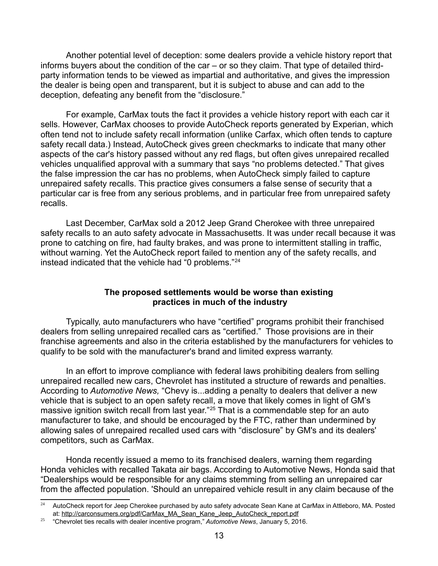Another potential level of deception: some dealers provide a vehicle history report that informs buyers about the condition of the car – or so they claim. That type of detailed thirdparty information tends to be viewed as impartial and authoritative, and gives the impression the dealer is being open and transparent, but it is subject to abuse and can add to the deception, defeating any benefit from the "disclosure."

For example, CarMax touts the fact it provides a vehicle history report with each car it sells. However, CarMax chooses to provide AutoCheck reports generated by Experian, which often tend not to include safety recall information (unlike Carfax, which often tends to capture safety recall data.) Instead, AutoCheck gives green checkmarks to indicate that many other aspects of the car's history passed without any red flags, but often gives unrepaired recalled vehicles unqualified approval with a summary that says "no problems detected." That gives the false impression the car has no problems, when AutoCheck simply failed to capture unrepaired safety recalls. This practice gives consumers a false sense of security that a particular car is free from any serious problems, and in particular free from unrepaired safety recalls.

Last December, CarMax sold a 2012 Jeep Grand Cherokee with three unrepaired safety recalls to an auto safety advocate in Massachusetts. It was under recall because it was prone to catching on fire, had faulty brakes, and was prone to intermittent stalling in traffic, without warning. Yet the AutoCheck report failed to mention any of the safety recalls, and instead indicated that the vehicle had "0 problems."[24](#page-12-0)

# **The proposed settlements would be worse than existing practices in much of the industry**

Typically, auto manufacturers who have "certified" programs prohibit their franchised dealers from selling unrepaired recalled cars as "certified." Those provisions are in their franchise agreements and also in the criteria established by the manufacturers for vehicles to qualify to be sold with the manufacturer's brand and limited express warranty.

In an effort to improve compliance with federal laws prohibiting dealers from selling unrepaired recalled new cars, Chevrolet has instituted a structure of rewards and penalties. According to *Automotive News,* "Chevy is...adding a penalty to dealers that deliver a new vehicle that is subject to an open safety recall, a move that likely comes in light of GM's massive ignition switch recall from last year."<sup>[25](#page-12-1)</sup> That is a commendable step for an auto manufacturer to take, and should be encouraged by the FTC, rather than undermined by allowing sales of unrepaired recalled used cars with "disclosure" by GM's and its dealers' competitors, such as CarMax.

Honda recently issued a memo to its franchised dealers, warning them regarding Honda vehicles with recalled Takata air bags. According to Automotive News, Honda said that "Dealerships would be responsible for any claims stemming from selling an unrepaired car from the affected population. 'Should an unrepaired vehicle result in any claim because of the

<span id="page-12-0"></span><sup>&</sup>lt;sup>24</sup> AutoCheck report for Jeep Cherokee purchased by auto safety advocate Sean Kane at CarMax in Attleboro, MA. Posted at: [http://carconsumers.org/pdf/CarMax\\_MA\\_Sean\\_Kane\\_Jeep\\_AutoCheck\\_report.pdf](http://carconsumers.org/pdf/CarMax_MA_Sean_Kane_Jeep_AutoCheck_report.pdf)

<span id="page-12-1"></span><sup>25</sup> "Chevrolet ties recalls with dealer incentive program," *Automotive News*, January 5, 2016.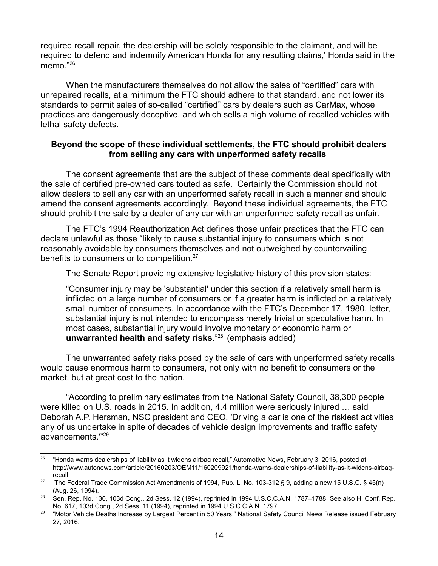required recall repair, the dealership will be solely responsible to the claimant, and will be required to defend and indemnify American Honda for any resulting claims,' Honda said in the memo $"^{26}$  $"^{26}$  $"^{26}$ 

When the manufacturers themselves do not allow the sales of "certified" cars with unrepaired recalls, at a minimum the FTC should adhere to that standard, and not lower its standards to permit sales of so-called "certified" cars by dealers such as CarMax, whose practices are dangerously deceptive, and which sells a high volume of recalled vehicles with lethal safety defects.

# **Beyond the scope of these individual settlements, the FTC should prohibit dealers from selling any cars with unperformed safety recalls**

The consent agreements that are the subject of these comments deal specifically with the sale of certified pre-owned cars touted as safe. Certainly the Commission should not allow dealers to sell any car with an unperformed safety recall in such a manner and should amend the consent agreements accordingly. Beyond these individual agreements, the FTC should prohibit the sale by a dealer of any car with an unperformed safety recall as unfair.

The FTC's 1994 Reauthorization Act defines those unfair practices that the FTC can declare unlawful as those "likely to cause substantial injury to consumers which is not reasonably avoidable by consumers themselves and not outweighed by countervailing benefits to consumers or to competition.<sup>[27](#page-13-1)</sup>

The Senate Report providing extensive legislative history of this provision states:

"Consumer injury may be 'substantial' under this section if a relatively small harm is inflicted on a large number of consumers or if a greater harm is inflicted on a relatively small number of consumers. In accordance with the FTC's December 17, 1980, letter, substantial injury is not intended to encompass merely trivial or speculative harm. In most cases, substantial injury would involve monetary or economic harm or **unwarranted health and safety risks**."[28](#page-13-2) (emphasis added)

The unwarranted safety risks posed by the sale of cars with unperformed safety recalls would cause enormous harm to consumers, not only with no benefit to consumers or the market, but at great cost to the nation.

"According to preliminary estimates from the National Safety Council, 38,300 people were killed on U.S. roads in 2015. In addition, 4.4 million were seriously injured … said Deborah A.P. Hersman, NSC president and CEO, 'Driving a car is one of the riskiest activities any of us undertake in spite of decades of vehicle design improvements and traffic safety advancements.'"[29](#page-13-3)

<span id="page-13-0"></span> $26$  "Honda warns dealerships of liability as it widens airbag recall," Automotive News, February 3, 2016, posted at: http://www.autonews.com/article/20160203/OEM11/160209921/honda-warns-dealerships-of-liability-as-it-widens-airbagrecall

<span id="page-13-1"></span><sup>&</sup>lt;sup>27</sup> The Federal Trade Commission Act Amendments of 1994, Pub. L. No. 103-312 § 9, adding a new 15 U.S.C. § 45(n) (Aug. 26, 1994).

<span id="page-13-2"></span> $28$  Sen. Rep. No. 130, 103d Cong., 2d Sess. 12 (1994), reprinted in 1994 U.S.C.C.A.N. 1787–1788. See also H. Conf. Rep. No. 617, 103d Cong., 2d Sess. 11 (1994), reprinted in 1994 U.S.C.C.A.N. 1797.

<span id="page-13-3"></span><sup>&</sup>lt;sup>29</sup> "Motor Vehicle Deaths Increase by Largest Percent in 50 Years," National Safety Council News Release issued February 27, 2016.